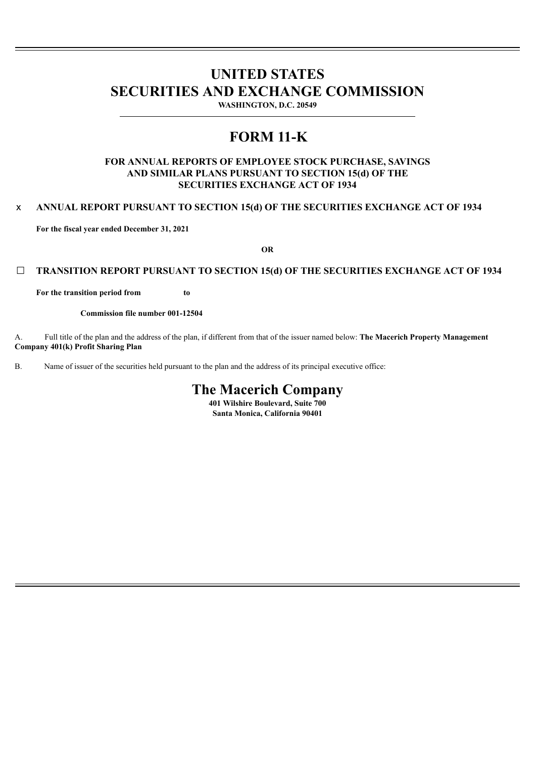# **UNITED STATES SECURITIES AND EXCHANGE COMMISSION**

**WASHINGTON, D.C. 20549**

# **FORM 11-K**

# **FOR ANNUAL REPORTS OF EMPLOYEE STOCK PURCHASE, SAVINGS AND SIMILAR PLANS PURSUANT TO SECTION 15(d) OF THE SECURITIES EXCHANGE ACT OF 1934**

# x **ANNUAL REPORT PURSUANT TO SECTION 15(d) OF THE SECURITIES EXCHANGE ACT OF 1934**

**For the fiscal year ended December 31, 2021**

**OR**

# ☐ **TRANSITION REPORT PURSUANT TO SECTION 15(d) OF THE SECURITIES EXCHANGE ACT OF 1934**

**For the transition period from to**

**Commission file number 001-12504**

A. Full title of the plan and the address of the plan, if different from that of the issuer named below: **The Macerich Property Management Company 401(k) Profit Sharing Plan**

B. Name of issuer of the securities held pursuant to the plan and the address of its principal executive office:

# **The Macerich Company 401 Wilshire Boulevard, Suite 700**

**Santa Monica, California 90401**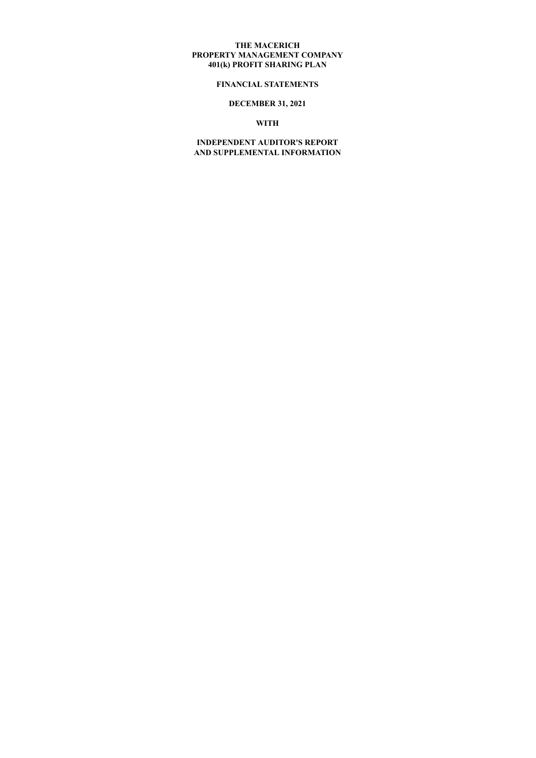#### **THE MACERICH PROPERTY MANAGEMENT COMPANY 401(k) PROFIT SHARING PLAN**

# **FINANCIAL STATEMENTS**

#### **DECEMBER 31, 2021**

# **WITH**

#### **INDEPENDENT AUDITOR'S REPORT AND SUPPLEMENTAL INFORMATION**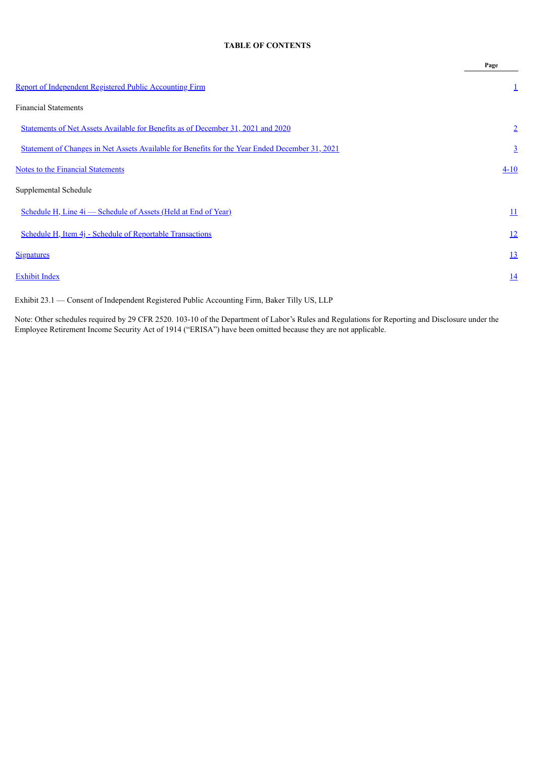### **TABLE OF CONTENTS**

|                                                                                                | Page            |
|------------------------------------------------------------------------------------------------|-----------------|
| <b>Report of Independent Registered Public Accounting Firm</b>                                 | T               |
| <b>Financial Statements</b>                                                                    |                 |
| Statements of Net Assets Available for Benefits as of December 31, 2021 and 2020               | $\overline{2}$  |
| Statement of Changes in Net Assets Available for Benefits for the Year Ended December 31, 2021 | $\overline{3}$  |
| <b>Notes to the Financial Statements</b>                                                       | $4 - 10$        |
| Supplemental Schedule                                                                          |                 |
| Schedule H, Line 4i — Schedule of Assets (Held at End of Year)                                 | $\overline{11}$ |
| Schedule H, Item 4j - Schedule of Reportable Transactions                                      | 12              |
| <b>Signatures</b>                                                                              | <u>13</u>       |
| <b>Exhibit Index</b>                                                                           | 14              |
|                                                                                                |                 |

Exhibit 23.1 — Consent of Independent Registered Public Accounting Firm, Baker Tilly US, LLP

<span id="page-2-0"></span>Note: Other schedules required by 29 CFR 2520. 103-10 of the Department of Labor's Rules and Regulations for Reporting and Disclosure under the Employee Retirement Income Security Act of 1914 ("ERISA") have been omitted because they are not applicable.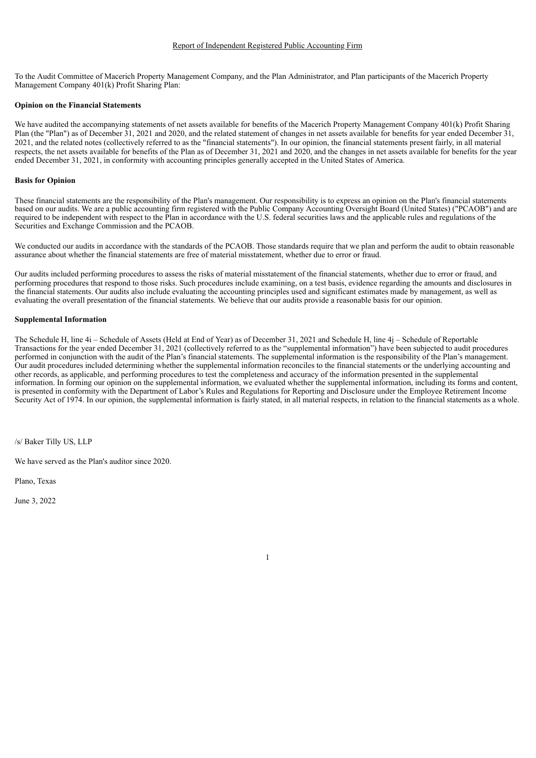#### Report of Independent Registered Public Accounting Firm

To the Audit Committee of Macerich Property Management Company, and the Plan Administrator, and Plan participants of the Macerich Property Management Company 401(k) Profit Sharing Plan:

#### **Opinion on the Financial Statements**

We have audited the accompanying statements of net assets available for benefits of the Macerich Property Management Company 401(k) Profit Sharing Plan (the "Plan") as of December 31, 2021 and 2020, and the related statement of changes in net assets available for benefits for year ended December 31, 2021, and the related notes (collectively referred to as the "financial statements"). In our opinion, the financial statements present fairly, in all material respects, the net assets available for benefits of the Plan as of December 31, 2021 and 2020, and the changes in net assets available for benefits for the year ended December 31, 2021, in conformity with accounting principles generally accepted in the United States of America.

#### **Basis for Opinion**

These financial statements are the responsibility of the Plan's management. Our responsibility is to express an opinion on the Plan's financial statements based on our audits. We are a public accounting firm registered with the Public Company Accounting Oversight Board (United States) ("PCAOB") and are required to be independent with respect to the Plan in accordance with the U.S. federal securities laws and the applicable rules and regulations of the Securities and Exchange Commission and the PCAOB.

We conducted our audits in accordance with the standards of the PCAOB. Those standards require that we plan and perform the audit to obtain reasonable assurance about whether the financial statements are free of material misstatement, whether due to error or fraud.

Our audits included performing procedures to assess the risks of material misstatement of the financial statements, whether due to error or fraud, and performing procedures that respond to those risks. Such procedures include examining, on a test basis, evidence regarding the amounts and disclosures in the financial statements. Our audits also include evaluating the accounting principles used and significant estimates made by management, as well as evaluating the overall presentation of the financial statements. We believe that our audits provide a reasonable basis for our opinion.

#### **Supplemental Information**

The Schedule H, line 4i – Schedule of Assets (Held at End of Year) as of December 31, 2021 and Schedule H, line 4j – Schedule of Reportable Transactions for the year ended December 31, 2021 (collectively referred to as the "supplemental information") have been subjected to audit procedures performed in conjunction with the audit of the Plan's financial statements. The supplemental information is the responsibility of the Plan's management. Our audit procedures included determining whether the supplemental information reconciles to the financial statements or the underlying accounting and other records, as applicable, and performing procedures to test the completeness and accuracy of the information presented in the supplemental information. In forming our opinion on the supplemental information, we evaluated whether the supplemental information, including its forms and content, is presented in conformity with the Department of Labor's Rules and Regulations for Reporting and Disclosure under the Employee Retirement Income Security Act of 1974. In our opinion, the supplemental information is fairly stated, in all material respects, in relation to the financial statements as a whole.

/s/ Baker Tilly US, LLP

We have served as the Plan's auditor since 2020.

Plano, Texas

<span id="page-3-0"></span>June 3, 2022

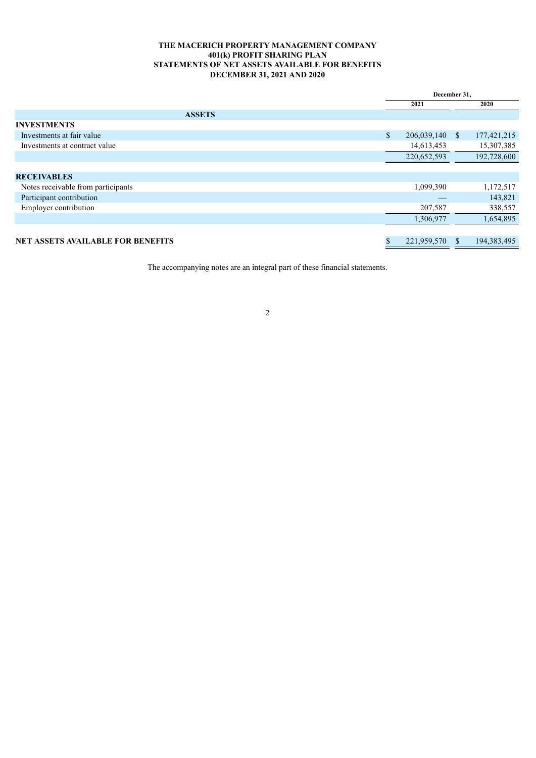### **THE MACERICH PROPERTY MANAGEMENT COMPANY 401(k) PROFIT SHARING PLAN STATEMENTS OF NET ASSETS AVAILABLE FOR BENEFITS DECEMBER 31, 2021 AND 2020**

|                                          | December 31,           |     |               |
|------------------------------------------|------------------------|-----|---------------|
|                                          | 2021                   |     | 2020          |
| <b>ASSETS</b>                            |                        |     |               |
| <b>INVESTMENTS</b>                       |                        |     |               |
| Investments at fair value                | \$<br>$206,039,140$ \$ |     | 177,421,215   |
| Investments at contract value            | 14,613,453             |     | 15,307,385    |
|                                          | 220,652,593            |     | 192,728,600   |
|                                          |                        |     |               |
| <b>RECEIVABLES</b>                       |                        |     |               |
| Notes receivable from participants       | 1,099,390              |     | 1,172,517     |
| Participant contribution                 |                        |     | 143,821       |
| Employer contribution                    | 207,587                |     | 338,557       |
|                                          | 1,306,977              |     | 1,654,895     |
|                                          |                        |     |               |
| <b>NET ASSETS AVAILABLE FOR BENEFITS</b> | \$<br>221,959,570      | - S | 194, 383, 495 |

<span id="page-4-0"></span>The accompanying notes are an integral part of these financial statements.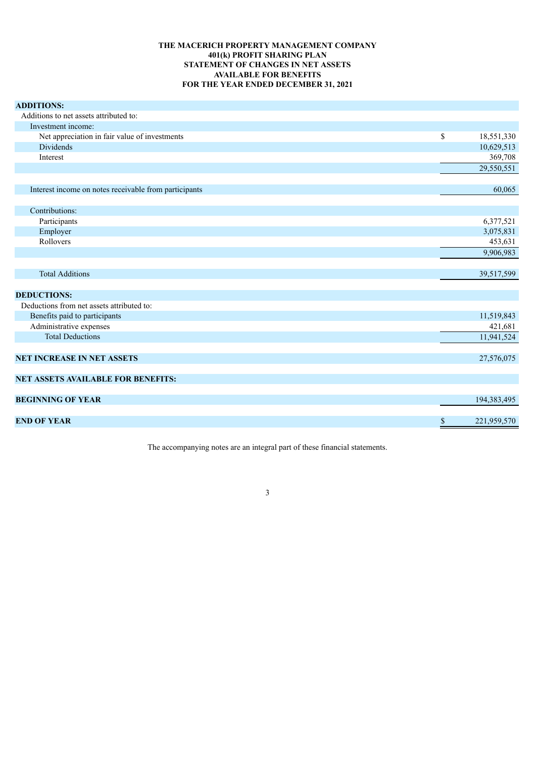#### **THE MACERICH PROPERTY MANAGEMENT COMPANY 401(k) PROFIT SHARING PLAN STATEMENT OF CHANGES IN NET ASSETS AVAILABLE FOR BENEFITS FOR THE YEAR ENDED DECEMBER 31, 2021**

| <b>ADDITIONS:</b>                                     |                   |
|-------------------------------------------------------|-------------------|
| Additions to net assets attributed to:                |                   |
| Investment income:                                    |                   |
| Net appreciation in fair value of investments         | \$<br>18,551,330  |
| <b>Dividends</b>                                      | 10,629,513        |
| Interest                                              | 369,708           |
|                                                       | 29,550,551        |
|                                                       |                   |
| Interest income on notes receivable from participants | 60,065            |
| Contributions:                                        |                   |
| Participants                                          | 6,377,521         |
| Employer                                              | 3,075,831         |
| Rollovers                                             | 453,631           |
|                                                       | 9,906,983         |
|                                                       |                   |
| <b>Total Additions</b>                                | 39,517,599        |
|                                                       |                   |
| <b>DEDUCTIONS:</b>                                    |                   |
| Deductions from net assets attributed to:             |                   |
| Benefits paid to participants                         | 11,519,843        |
| Administrative expenses<br><b>Total Deductions</b>    | 421,681           |
|                                                       | 11,941,524        |
| <b>NET INCREASE IN NET ASSETS</b>                     | 27,576,075        |
|                                                       |                   |
| NET ASSETS AVAILABLE FOR BENEFITS:                    |                   |
|                                                       |                   |
| <b>BEGINNING OF YEAR</b>                              | 194,383,495       |
| <b>END OF YEAR</b>                                    | \$<br>221,959,570 |
|                                                       |                   |

<span id="page-5-0"></span>The accompanying notes are an integral part of these financial statements.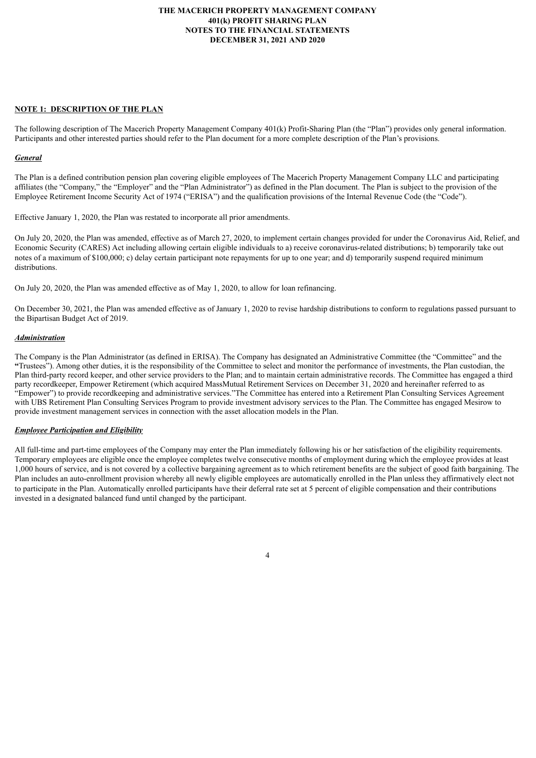#### **NOTE 1: DESCRIPTION OF THE PLAN**

The following description of The Macerich Property Management Company 401(k) Profit-Sharing Plan (the "Plan") provides only general information. Participants and other interested parties should refer to the Plan document for a more complete description of the Plan's provisions.

#### *General*

The Plan is a defined contribution pension plan covering eligible employees of The Macerich Property Management Company LLC and participating affiliates (the "Company," the "Employer" and the "Plan Administrator") as defined in the Plan document. The Plan is subject to the provision of the Employee Retirement Income Security Act of 1974 ("ERISA") and the qualification provisions of the Internal Revenue Code (the "Code").

Effective January 1, 2020, the Plan was restated to incorporate all prior amendments.

On July 20, 2020, the Plan was amended, effective as of March 27, 2020, to implement certain changes provided for under the Coronavirus Aid, Relief, and Economic Security (CARES) Act including allowing certain eligible individuals to a) receive coronavirus-related distributions; b) temporarily take out notes of a maximum of \$100,000; c) delay certain participant note repayments for up to one year; and d) temporarily suspend required minimum distributions.

On July 20, 2020, the Plan was amended effective as of May 1, 2020, to allow for loan refinancing.

On December 30, 2021, the Plan was amended effective as of January 1, 2020 to revise hardship distributions to conform to regulations passed pursuant to the Bipartisan Budget Act of 2019.

#### *Administration*

The Company is the Plan Administrator (as defined in ERISA). The Company has designated an Administrative Committee (the "Committee" and the **"**Trustees"). Among other duties, it is the responsibility of the Committee to select and monitor the performance of investments, the Plan custodian, the Plan third-party record keeper, and other service providers to the Plan; and to maintain certain administrative records. The Committee has engaged a third party recordkeeper, Empower Retirement (which acquired MassMutual Retirement Services on December 31, 2020 and hereinafter referred to as "Empower") to provide recordkeeping and administrative services."The Committee has entered into a Retirement Plan Consulting Services Agreement with UBS Retirement Plan Consulting Services Program to provide investment advisory services to the Plan. The Committee has engaged Mesirow to provide investment management services in connection with the asset allocation models in the Plan.

#### *Employee Participation and Eligibility*

All full-time and part-time employees of the Company may enter the Plan immediately following his or her satisfaction of the eligibility requirements. Temporary employees are eligible once the employee completes twelve consecutive months of employment during which the employee provides at least 1,000 hours of service, and is not covered by a collective bargaining agreement as to which retirement benefits are the subject of good faith bargaining. The Plan includes an auto-enrollment provision whereby all newly eligible employees are automatically enrolled in the Plan unless they affirmatively elect not to participate in the Plan. Automatically enrolled participants have their deferral rate set at 5 percent of eligible compensation and their contributions invested in a designated balanced fund until changed by the participant.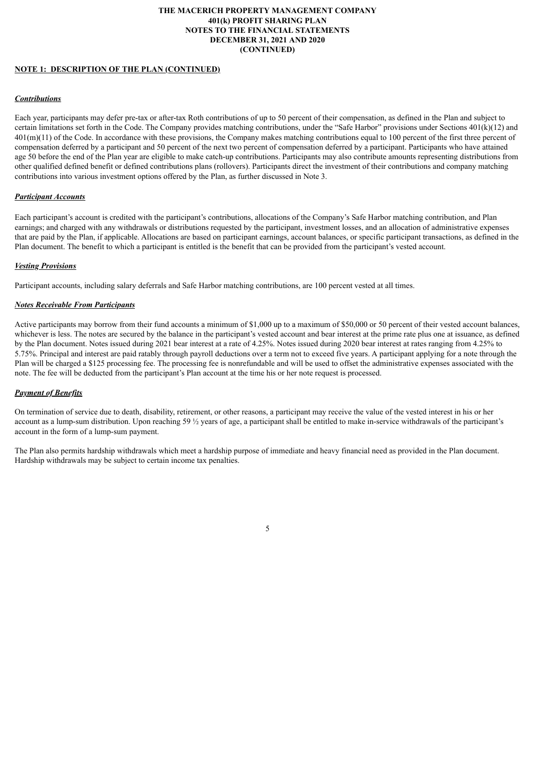#### **NOTE 1: DESCRIPTION OF THE PLAN (CONTINUED)**

#### *Contributions*

Each year, participants may defer pre-tax or after-tax Roth contributions of up to 50 percent of their compensation, as defined in the Plan and subject to certain limitations set forth in the Code. The Company provides matching contributions, under the "Safe Harbor" provisions under Sections 401(k)(12) and 401(m)(11) of the Code. In accordance with these provisions, the Company makes matching contributions equal to 100 percent of the first three percent of compensation deferred by a participant and 50 percent of the next two percent of compensation deferred by a participant. Participants who have attained age 50 before the end of the Plan year are eligible to make catch-up contributions. Participants may also contribute amounts representing distributions from other qualified defined benefit or defined contributions plans (rollovers). Participants direct the investment of their contributions and company matching contributions into various investment options offered by the Plan, as further discussed in Note 3.

#### *Participant Accounts*

Each participant's account is credited with the participant's contributions, allocations of the Company's Safe Harbor matching contribution, and Plan earnings; and charged with any withdrawals or distributions requested by the participant, investment losses, and an allocation of administrative expenses that are paid by the Plan, if applicable. Allocations are based on participant earnings, account balances, or specific participant transactions, as defined in the Plan document. The benefit to which a participant is entitled is the benefit that can be provided from the participant's vested account.

#### *Vesting Provisions*

Participant accounts, including salary deferrals and Safe Harbor matching contributions, are 100 percent vested at all times.

#### *Notes Receivable From Participants*

Active participants may borrow from their fund accounts a minimum of \$1,000 up to a maximum of \$50,000 or 50 percent of their vested account balances, whichever is less. The notes are secured by the balance in the participant's vested account and bear interest at the prime rate plus one at issuance, as defined by the Plan document. Notes issued during 2021 bear interest at a rate of 4.25%. Notes issued during 2020 bear interest at rates ranging from 4.25% to 5.75%. Principal and interest are paid ratably through payroll deductions over a term not to exceed five years. A participant applying for a note through the Plan will be charged a \$125 processing fee. The processing fee is nonrefundable and will be used to offset the administrative expenses associated with the note. The fee will be deducted from the participant's Plan account at the time his or her note request is processed.

### *Payment of Benefits*

On termination of service due to death, disability, retirement, or other reasons, a participant may receive the value of the vested interest in his or her account as a lump-sum distribution. Upon reaching 59  $\frac{1}{2}$  years of age, a participant shall be entitled to make in-service withdrawals of the participant's account in the form of a lump-sum payment.

The Plan also permits hardship withdrawals which meet a hardship purpose of immediate and heavy financial need as provided in the Plan document. Hardship withdrawals may be subject to certain income tax penalties.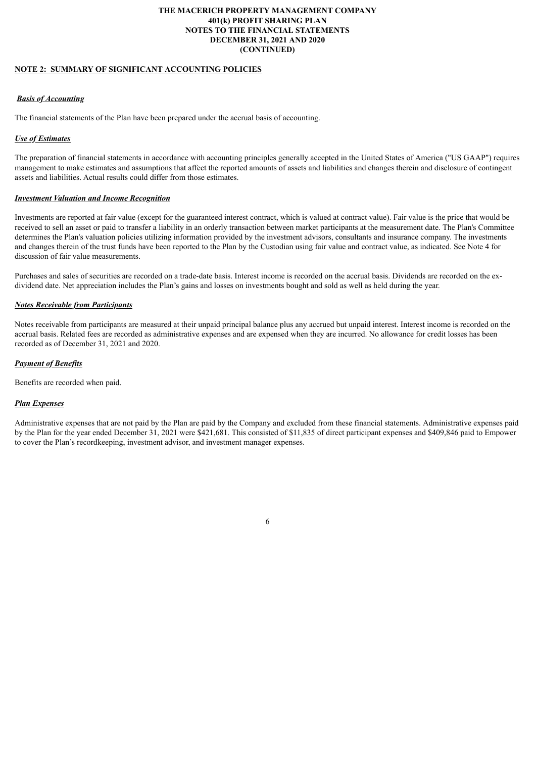#### **NOTE 2: SUMMARY OF SIGNIFICANT ACCOUNTING POLICIES**

#### *Basis of Accounting*

The financial statements of the Plan have been prepared under the accrual basis of accounting.

#### *Use of Estimates*

The preparation of financial statements in accordance with accounting principles generally accepted in the United States of America ("US GAAP") requires management to make estimates and assumptions that affect the reported amounts of assets and liabilities and changes therein and disclosure of contingent assets and liabilities. Actual results could differ from those estimates.

#### *Investment Valuation and Income Recognition*

Investments are reported at fair value (except for the guaranteed interest contract, which is valued at contract value). Fair value is the price that would be received to sell an asset or paid to transfer a liability in an orderly transaction between market participants at the measurement date. The Plan's Committee determines the Plan's valuation policies utilizing information provided by the investment advisors, consultants and insurance company. The investments and changes therein of the trust funds have been reported to the Plan by the Custodian using fair value and contract value, as indicated. See Note 4 for discussion of fair value measurements.

Purchases and sales of securities are recorded on a trade-date basis. Interest income is recorded on the accrual basis. Dividends are recorded on the exdividend date. Net appreciation includes the Plan's gains and losses on investments bought and sold as well as held during the year.

#### *Notes Receivable from Participants*

Notes receivable from participants are measured at their unpaid principal balance plus any accrued but unpaid interest. Interest income is recorded on the accrual basis. Related fees are recorded as administrative expenses and are expensed when they are incurred. No allowance for credit losses has been recorded as of December 31, 2021 and 2020.

#### *Payment of Benefits*

Benefits are recorded when paid.

#### *Plan Expenses*

Administrative expenses that are not paid by the Plan are paid by the Company and excluded from these financial statements. Administrative expenses paid by the Plan for the year ended December 31, 2021 were \$421,681. This consisted of \$11,835 of direct participant expenses and \$409,846 paid to Empower to cover the Plan's recordkeeping, investment advisor, and investment manager expenses.

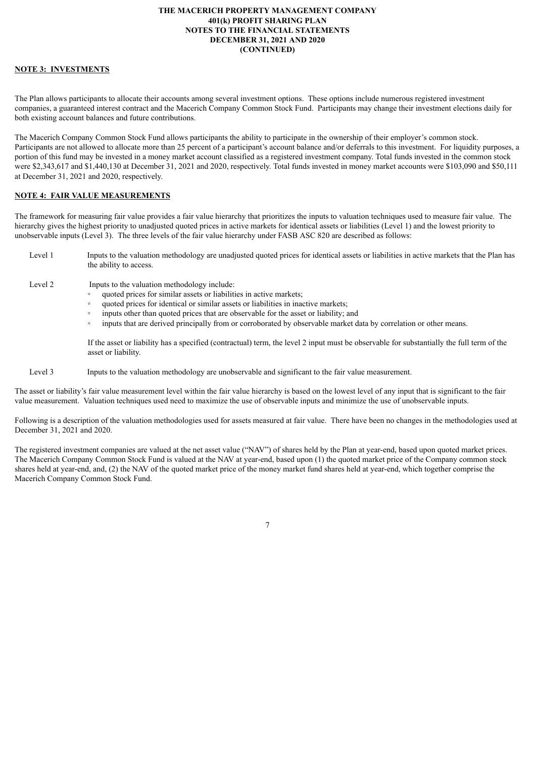#### **NOTE 3: INVESTMENTS**

The Plan allows participants to allocate their accounts among several investment options. These options include numerous registered investment companies, a guaranteed interest contract and the Macerich Company Common Stock Fund. Participants may change their investment elections daily for both existing account balances and future contributions.

The Macerich Company Common Stock Fund allows participants the ability to participate in the ownership of their employer's common stock. Participants are not allowed to allocate more than 25 percent of a participant's account balance and/or deferrals to this investment. For liquidity purposes, a portion of this fund may be invested in a money market account classified as a registered investment company. Total funds invested in the common stock were \$2,343,617 and \$1,440,130 at December 31, 2021 and 2020, respectively. Total funds invested in money market accounts were \$103,090 and \$50,111 at December 31, 2021 and 2020, respectively.

#### **NOTE 4: FAIR VALUE MEASUREMENTS**

The framework for measuring fair value provides a fair value hierarchy that prioritizes the inputs to valuation techniques used to measure fair value. The hierarchy gives the highest priority to unadjusted quoted prices in active markets for identical assets or liabilities (Level 1) and the lowest priority to unobservable inputs (Level 3). The three levels of the fair value hierarchy under FASB ASC 820 are described as follows:

- Level 1 Inputs to the valuation methodology are unadjusted quoted prices for identical assets or liabilities in active markets that the Plan has the ability to access.
- Level 2 Inputs to the valuation methodology include:
	- quoted prices for similar assets or liabilities in active markets;
	- quoted prices for identical or similar assets or liabilities in inactive markets;
	- inputs other than quoted prices that are observable for the asset or liability; and
	- inputs that are derived principally from or corroborated by observable market data by correlation or other means.

If the asset or liability has a specified (contractual) term, the level 2 input must be observable for substantially the full term of the asset or liability.

Level 3 Inputs to the valuation methodology are unobservable and significant to the fair value measurement.

The asset or liability's fair value measurement level within the fair value hierarchy is based on the lowest level of any input that is significant to the fair value measurement. Valuation techniques used need to maximize the use of observable inputs and minimize the use of unobservable inputs.

Following is a description of the valuation methodologies used for assets measured at fair value. There have been no changes in the methodologies used at December 31, 2021 and 2020.

The registered investment companies are valued at the net asset value ("NAV") of shares held by the Plan at year-end, based upon quoted market prices. The Macerich Company Common Stock Fund is valued at the NAV at year-end, based upon (1) the quoted market price of the Company common stock shares held at year-end, and, (2) the NAV of the quoted market price of the money market fund shares held at year-end, which together comprise the Macerich Company Common Stock Fund.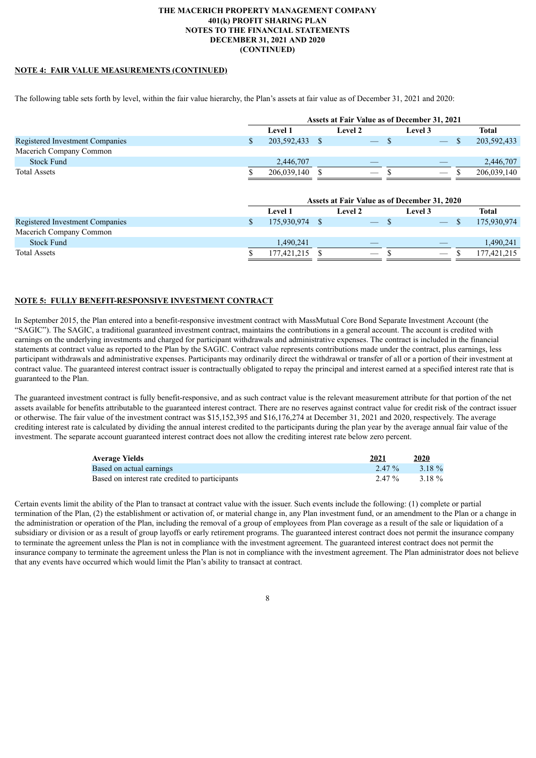#### **NOTE 4: FAIR VALUE MEASUREMENTS (CONTINUED)**

The following table sets forth by level, within the fair value hierarchy, the Plan's assets at fair value as of December 31, 2021 and 2020:

|                                 | Assets at Fair Value as of December 31, 2021 |                |              |                                              |    |                               |              |              |
|---------------------------------|----------------------------------------------|----------------|--------------|----------------------------------------------|----|-------------------------------|--------------|--------------|
|                                 |                                              | <b>Level 1</b> |              | Level 2                                      |    | Level 3                       |              | <b>Total</b> |
| Registered Investment Companies | S.                                           | 203,592,433    | <sup>S</sup> | $\overline{\phantom{a}}$                     | -S | $\overline{\phantom{m}}$      | <sup>S</sup> | 203,592,433  |
| Macerich Company Common         |                                              |                |              |                                              |    |                               |              |              |
| <b>Stock Fund</b>               |                                              | 2,446,707      |              |                                              |    |                               |              | 2,446,707    |
| <b>Total Assets</b>             |                                              | 206,039,140    |              | $\overbrace{\phantom{13333}}$                |    | $\overbrace{\phantom{12333}}$ |              | 206,039,140  |
|                                 |                                              |                |              |                                              |    |                               |              |              |
|                                 |                                              |                |              |                                              |    |                               |              |              |
|                                 |                                              |                |              | Assets at Fair Value as of December 31, 2020 |    |                               |              |              |
|                                 |                                              | Level 1        |              | Level 2                                      |    | Level 3                       |              | <b>Total</b> |
| Registered Investment Companies | \$                                           | 175,930,974 \$ |              | $\overline{\phantom{0}}$                     |    | $\overline{\phantom{m}}$      | <sup>S</sup> | 175,930,974  |
| Macerich Company Common         |                                              |                |              |                                              |    |                               |              |              |
| <b>Stock Fund</b>               |                                              | 1,490,241      |              |                                              |    |                               |              | 1,490,241    |

#### **NOTE 5: FULLY BENEFIT-RESPONSIVE INVESTMENT CONTRACT**

In September 2015, the Plan entered into a benefit-responsive investment contract with MassMutual Core Bond Separate Investment Account (the "SAGIC"). The SAGIC, a traditional guaranteed investment contract, maintains the contributions in a general account. The account is credited with earnings on the underlying investments and charged for participant withdrawals and administrative expenses. The contract is included in the financial statements at contract value as reported to the Plan by the SAGIC. Contract value represents contributions made under the contract, plus earnings, less participant withdrawals and administrative expenses. Participants may ordinarily direct the withdrawal or transfer of all or a portion of their investment at contract value. The guaranteed interest contract issuer is contractually obligated to repay the principal and interest earned at a specified interest rate that is guaranteed to the Plan.

The guaranteed investment contract is fully benefit-responsive, and as such contract value is the relevant measurement attribute for that portion of the net assets available for benefits attributable to the guaranteed interest contract. There are no reserves against contract value for credit risk of the contract issuer or otherwise. The fair value of the investment contract was \$15,152,395 and \$16,176,274 at December 31, 2021 and 2020, respectively. The average crediting interest rate is calculated by dividing the annual interest credited to the participants during the plan year by the average annual fair value of the investment. The separate account guaranteed interest contract does not allow the crediting interest rate below zero percent.

| <b>Average Yields</b>                           | 2021     | 2020   |
|-------------------------------------------------|----------|--------|
| Based on actual earnings                        | $2.47\%$ | 3.18 % |
| Based on interest rate credited to participants | 2.47 %   | 3.18 % |

Certain events limit the ability of the Plan to transact at contract value with the issuer. Such events include the following: (1) complete or partial termination of the Plan, (2) the establishment or activation of, or material change in, any Plan investment fund, or an amendment to the Plan or a change in the administration or operation of the Plan, including the removal of a group of employees from Plan coverage as a result of the sale or liquidation of a subsidiary or division or as a result of group layoffs or early retirement programs. The guaranteed interest contract does not permit the insurance company to terminate the agreement unless the Plan is not in compliance with the investment agreement. The guaranteed interest contract does not permit the insurance company to terminate the agreement unless the Plan is not in compliance with the investment agreement. The Plan administrator does not believe that any events have occurred which would limit the Plan's ability to transact at contract.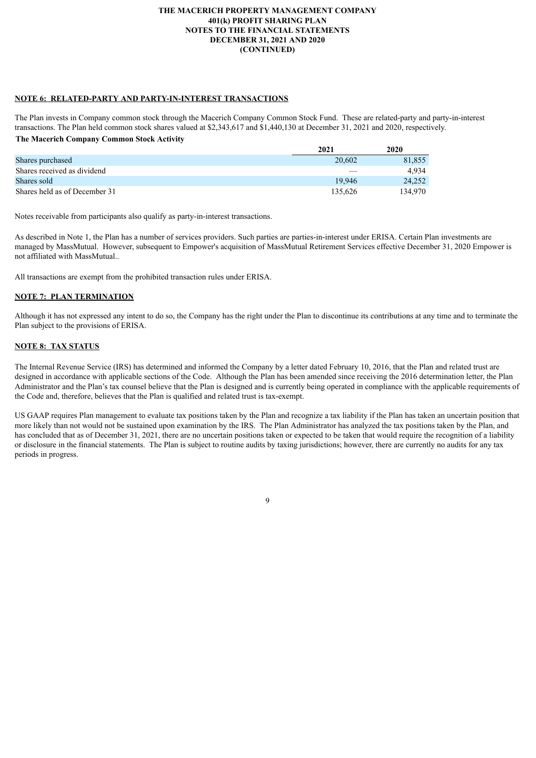#### **NOTE 6: RELATED-PARTY AND PARTY-IN-INTEREST TRANSACTIONS**

The Plan invests in Company common stock through the Macerich Company Common Stock Fund. These are related-party and party-in-interest transactions. The Plan held common stock shares valued at \$2,343,617 and \$1,440,130 at December 31, 2021 and 2020, respectively. **The Macerich Company Common Stock Activity**

|                               | 2021    | 2020    |
|-------------------------------|---------|---------|
| Shares purchased              | 20,602  | 81.855  |
| Shares received as dividend   |         | 4.934   |
| Shares sold                   | 19.946  | 24.252  |
| Shares held as of December 31 | 135.626 | 134.970 |

Notes receivable from participants also qualify as party-in-interest transactions.

As described in Note 1, the Plan has a number of services providers. Such parties are parties-in-interest under ERISA. Certain Plan investments are managed by MassMutual. However, subsequent to Empower's acquisition of MassMutual Retirement Services effective December 31, 2020 Empower is not affiliated with MassMutual..

All transactions are exempt from the prohibited transaction rules under ERISA.

# **NOTE 7: PLAN TERMINATION**

Although it has not expressed any intent to do so, the Company has the right under the Plan to discontinue its contributions at any time and to terminate the Plan subject to the provisions of ERISA.

### **NOTE 8: TAX STATUS**

The Internal Revenue Service (IRS) has determined and informed the Company by a letter dated February 10, 2016, that the Plan and related trust are designed in accordance with applicable sections of the Code. Although the Plan has been amended since receiving the 2016 determination letter, the Plan Administrator and the Plan's tax counsel believe that the Plan is designed and is currently being operated in compliance with the applicable requirements of the Code and, therefore, believes that the Plan is qualified and related trust is tax-exempt.

US GAAP requires Plan management to evaluate tax positions taken by the Plan and recognize a tax liability if the Plan has taken an uncertain position that more likely than not would not be sustained upon examination by the IRS. The Plan Administrator has analyzed the tax positions taken by the Plan, and has concluded that as of December 31, 2021, there are no uncertain positions taken or expected to be taken that would require the recognition of a liability or disclosure in the financial statements. The Plan is subject to routine audits by taxing jurisdictions; however, there are currently no audits for any tax periods in progress.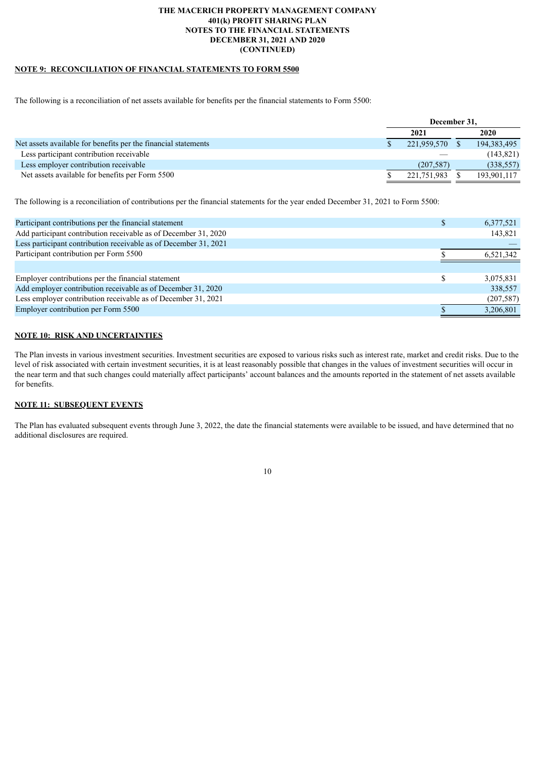# **NOTE 9: RECONCILIATION OF FINANCIAL STATEMENTS TO FORM 5500**

The following is a reconciliation of net assets available for benefits per the financial statements to Form 5500:

|                                                                | December 31,   |  |               |
|----------------------------------------------------------------|----------------|--|---------------|
|                                                                | 2021           |  | 2020          |
| Net assets available for benefits per the financial statements | 221,959,570 \$ |  | 194, 383, 495 |
| Less participant contribution receivable                       |                |  | (143, 821)    |
| Less employer contribution receivable                          | (207.587)      |  | (338, 557)    |
| Net assets available for benefits per Form 5500                | 221,751,983    |  | 193.901.117   |

The following is a reconciliation of contributions per the financial statements for the year ended December 31, 2021 to Form 5500:

| Participant contributions per the financial statement            | ъ | 6,377,521  |
|------------------------------------------------------------------|---|------------|
| Add participant contribution receivable as of December 31, 2020  |   | 143,821    |
| Less participant contribution receivable as of December 31, 2021 |   |            |
| Participant contribution per Form 5500                           |   | 6,521,342  |
|                                                                  |   |            |
| Employer contributions per the financial statement               |   | 3,075,831  |
| Add employer contribution receivable as of December 31, 2020     |   | 338,557    |
| Less employer contribution receivable as of December 31, 2021    |   | (207, 587) |
| Employer contribution per Form 5500                              |   | 3,206,801  |
|                                                                  |   |            |

#### **NOTE 10: RISK AND UNCERTAINTIES**

The Plan invests in various investment securities. Investment securities are exposed to various risks such as interest rate, market and credit risks. Due to the level of risk associated with certain investment securities, it is at least reasonably possible that changes in the values of investment securities will occur in the near term and that such changes could materially affect participants' account balances and the amounts reported in the statement of net assets available for benefits.

#### **NOTE 11: SUBSEQUENT EVENTS**

<span id="page-12-0"></span>The Plan has evaluated subsequent events through June 3, 2022, the date the financial statements were available to be issued, and have determined that no additional disclosures are required.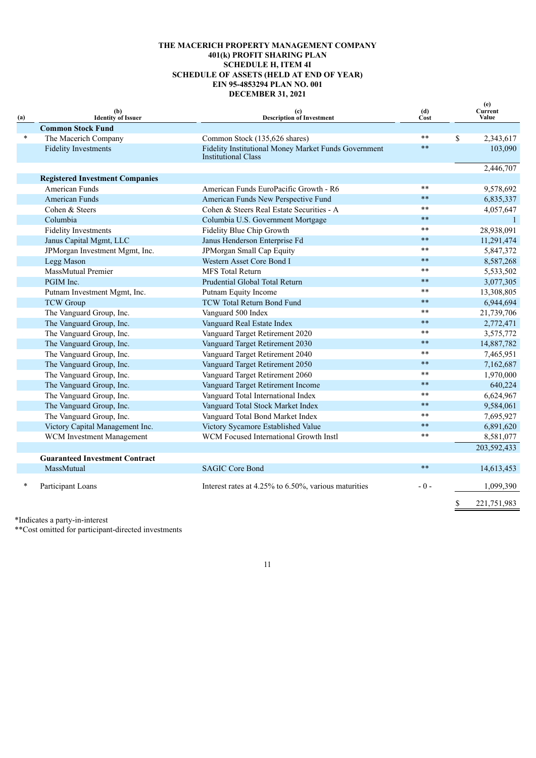#### **THE MACERICH PROPERTY MANAGEMENT COMPANY 401(k) PROFIT SHARING PLAN SCHEDULE H, ITEM 4I SCHEDULE OF ASSETS (HELD AT END OF YEAR) EIN 95-4853294 PLAN NO. 001 DECEMBER 31, 2021**

| (a)    | (b)<br><b>Identity</b> of Issuer       | (c)<br>Description of Investment                                                   | (d)<br>Cost |               | (e)<br>Current<br>Value |
|--------|----------------------------------------|------------------------------------------------------------------------------------|-------------|---------------|-------------------------|
|        | <b>Common Stock Fund</b>               |                                                                                    |             |               |                         |
| $\ast$ | The Macerich Company                   | Common Stock (135,626 shares)                                                      | $**$        | <sup>\$</sup> | 2,343,617               |
|        | <b>Fidelity Investments</b>            | Fidelity Institutional Money Market Funds Government<br><b>Institutional Class</b> | $**$        |               | 103,090                 |
|        |                                        |                                                                                    |             |               | 2,446,707               |
|        | <b>Registered Investment Companies</b> |                                                                                    |             |               |                         |
|        | American Funds                         | American Funds EuroPacific Growth - R6                                             | **          |               | 9,578,692               |
|        | <b>American Funds</b>                  | American Funds New Perspective Fund                                                | $**$        |               | 6,835,337               |
|        | Cohen & Steers                         | Cohen & Steers Real Estate Securities - A                                          | **          |               | 4,057,647               |
|        | Columbia                               | Columbia U.S. Government Mortgage                                                  | $**$        |               | $\overline{1}$          |
|        | Fidelity Investments                   | Fidelity Blue Chip Growth                                                          | $* *$       |               | 28,938,091              |
|        | Janus Capital Mgmt, LLC                | Janus Henderson Enterprise Fd                                                      | $**$        |               | 11,291,474              |
|        | JPMorgan Investment Mgmt, Inc.         | JPMorgan Small Cap Equity                                                          | **          |               | 5,847,372               |
|        | Legg Mason                             | Western Asset Core Bond I                                                          | $* *$       |               | 8,587,268               |
|        | MassMutual Premier                     | MFS Total Return                                                                   | $**$        |               | 5,533,502               |
|        | PGIM Inc.                              | Prudential Global Total Return                                                     | $* *$       |               | 3,077,305               |
|        | Putnam Investment Mgmt, Inc.           | Putnam Equity Income                                                               | **          |               | 13,308,805              |
|        | <b>TCW Group</b>                       | <b>TCW Total Return Bond Fund</b>                                                  | $**$        |               | 6,944,694               |
|        | The Vanguard Group, Inc.               | Vanguard 500 Index                                                                 | $**$        |               | 21,739,706              |
|        | The Vanguard Group, Inc.               | Vanguard Real Estate Index                                                         | $**$        |               | 2,772,471               |
|        | The Vanguard Group, Inc.               | Vanguard Target Retirement 2020                                                    | **          |               | 3,575,772               |
|        | The Vanguard Group, Inc.               | Vanguard Target Retirement 2030                                                    | $* *$       |               | 14,887,782              |
|        | The Vanguard Group, Inc.               | Vanguard Target Retirement 2040                                                    | $***$       |               | 7,465,951               |
|        | The Vanguard Group, Inc.               | Vanguard Target Retirement 2050                                                    | $**$        |               | 7,162,687               |
|        | The Vanguard Group, Inc.               | Vanguard Target Retirement 2060                                                    | $**$        |               | 1,970,000               |
|        | The Vanguard Group, Inc.               | Vanguard Target Retirement Income                                                  | $**$        |               | 640,224                 |
|        | The Vanguard Group, Inc.               | Vanguard Total International Index                                                 | $***$       |               | 6,624,967               |
|        | The Vanguard Group, Inc.               | Vanguard Total Stock Market Index                                                  | $**$        |               | 9,584,061               |
|        | The Vanguard Group, Inc.               | Vanguard Total Bond Market Index                                                   | $**$        |               | 7,695,927               |
|        | Victory Capital Management Inc.        | Victory Sycamore Established Value                                                 | $**$        |               | 6,891,620               |
|        | WCM Investment Management              | WCM Focused International Growth Instl                                             | **          |               | 8,581,077               |
|        |                                        |                                                                                    |             |               | 203,592,433             |
|        | <b>Guaranteed Investment Contract</b>  |                                                                                    |             |               |                         |
|        | <b>MassMutual</b>                      | <b>SAGIC Core Bond</b>                                                             | $**$        |               | 14,613,453              |
| *      | Participant Loans                      | Interest rates at 4.25% to 6.50%, various maturities                               | $-0-$       |               | 1,099,390               |
|        |                                        |                                                                                    |             | S             | 221,751,983             |

\*Indicates a party-in-interest

<span id="page-13-0"></span>\*\*Cost omitted for participant-directed investments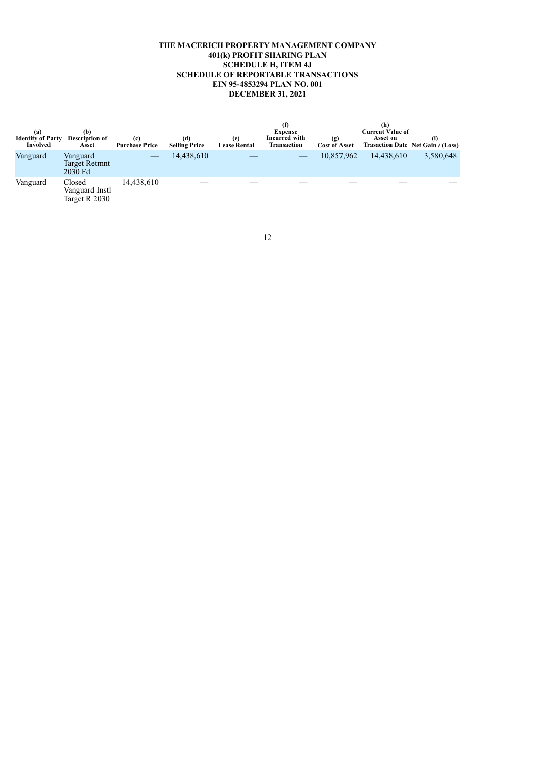#### **THE MACERICH PROPERTY MANAGEMENT COMPANY 401(k) PROFIT SHARING PLAN SCHEDULE H, ITEM 4J SCHEDULE OF REPORTABLE TRANSACTIONS EIN 95-4853294 PLAN NO. 001 DECEMBER 31, 2021**

<span id="page-14-0"></span>

| (a)<br><b>Identity of Party</b><br>Involved | (b)<br><b>Description of</b><br>Asset       | (c)<br><b>Purchase Price</b> | (d)<br><b>Selling Price</b> | (e)<br><b>Lease Rental</b> | (f)<br><b>Expense</b><br><b>Incurred with</b><br>Transaction | (g)<br><b>Cost of Asset</b> | (h)<br><b>Current Value of</b><br>Asset on | $\left( i\right)$<br>Trasaction Date Net Gain / (Loss) |
|---------------------------------------------|---------------------------------------------|------------------------------|-----------------------------|----------------------------|--------------------------------------------------------------|-----------------------------|--------------------------------------------|--------------------------------------------------------|
| Vanguard                                    | Vanguard<br><b>Target Retmnt</b><br>2030 Fd |                              | 14,438,610                  |                            |                                                              | 10,857,962                  | 14,438,610                                 | 3,580,648                                              |
| Vanguard                                    | Closed<br>Vanguard Instl<br>Target R 2030   | 14.438.610                   |                             |                            |                                                              |                             |                                            |                                                        |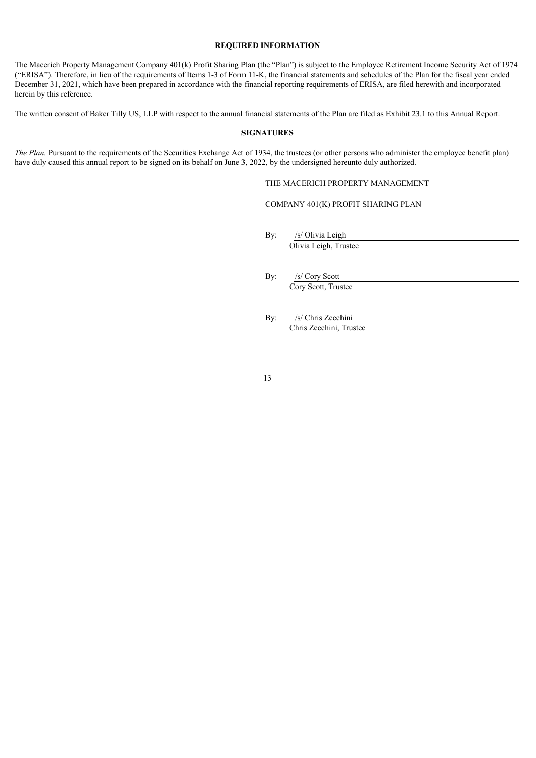#### **REQUIRED INFORMATION**

The Macerich Property Management Company 401(k) Profit Sharing Plan (the "Plan") is subject to the Employee Retirement Income Security Act of 1974 ("ERISA"). Therefore, in lieu of the requirements of Items 1-3 of Form 11-K, the financial statements and schedules of the Plan for the fiscal year ended December 31, 2021, which have been prepared in accordance with the financial reporting requirements of ERISA, are filed herewith and incorporated herein by this reference.

The written consent of Baker Tilly US, LLP with respect to the annual financial statements of the Plan are filed as Exhibit 23.1 to this Annual Report.

#### **SIGNATURES**

<span id="page-15-0"></span>*The Plan.* Pursuant to the requirements of the Securities Exchange Act of 1934, the trustees (or other persons who administer the employee benefit plan) have duly caused this annual report to be signed on its behalf on June 3, 2022, by the undersigned hereunto duly authorized.

#### THE MACERICH PROPERTY MANAGEMENT

COMPANY 401(K) PROFIT SHARING PLAN

- By: /s/ Olivia Leigh Olivia Leigh, Trustee
- By: /s/ Cory Scott Cory Scott, Trustee
- By: /s/ Chris Zecchini Chris Zecchini, Trustee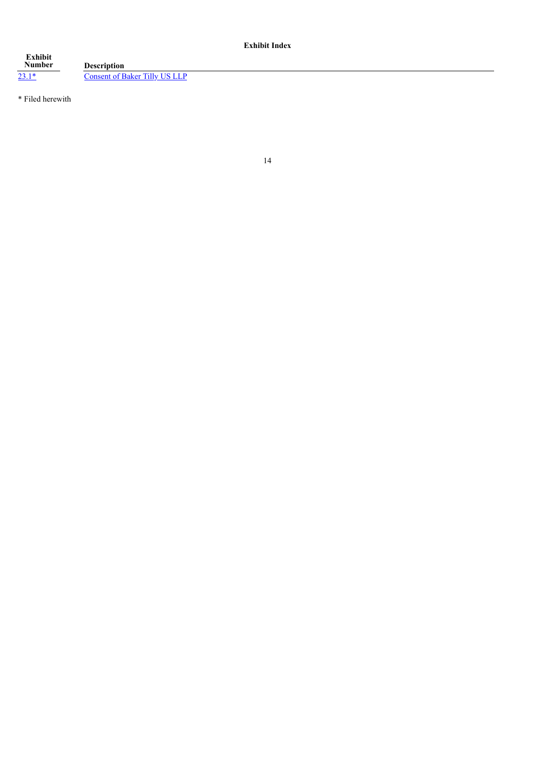# **Exhibit Index**

**Exhibit Number Description** [23.1\\*](#page-17-0) [Consent](#page-17-0) of [Baker](#page-17-0) Tilly US LLP

\* Filed herewith